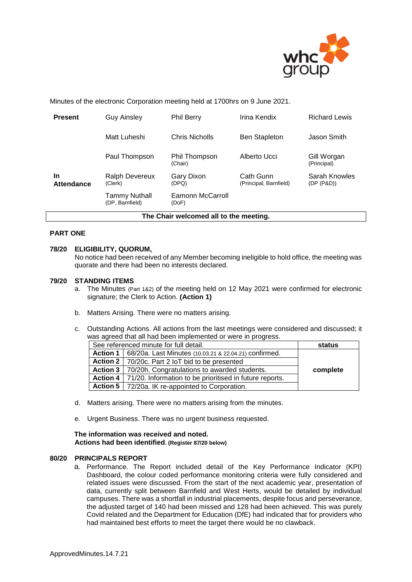

Minutes of the electronic Corporation meeting held at 1700hrs on 9 June 2021.

| <b>Present</b>                         | <b>Guy Ainsley</b>                      | <b>Phil Berry</b>         | Irina Kendix                        | <b>Richard Lewis</b>        |  |
|----------------------------------------|-----------------------------------------|---------------------------|-------------------------------------|-----------------------------|--|
|                                        | Matt Luheshi                            | Chris Nicholls            | <b>Ben Stapleton</b>                | Jason Smith                 |  |
|                                        | Paul Thompson                           | Phil Thompson<br>(Chair)  | Alberto Ucci                        | Gill Worgan<br>(Principal)  |  |
| <b>In</b><br><b>Attendance</b>         | Ralph Devereux<br>(Clerk)               | Gary Dixon<br>(DPQ)       | Cath Gunn<br>(Principal, Barnfield) | Sarah Knowles<br>(DP (P&D)) |  |
|                                        | <b>Tammy Nuthall</b><br>(DP, Barnfield) | Eamonn McCarroll<br>(DoF) |                                     |                             |  |
| The Chair welcomed all to the meeting. |                                         |                           |                                     |                             |  |

# **PART ONE**

#### **78/20 ELIGIBILITY, QUORUM,**

No notice had been received of any Member becoming ineligible to hold office, the meeting was quorate and there had been no interests declared.

#### **79/20 STANDING ITEMS**

- a. The Minutes (Part 1&2) of the meeting held on 12 May 2021 were confirmed for electronic signature; the Clerk to Action. **(Action 1)**
- b. Matters Arising. There were no matters arising.
- c. Outstanding Actions. All actions from the last meetings were considered and discussed; it was agreed that all had been implemented or were in progress.

| See referenced minute for full detail. |                                                                    | status   |
|----------------------------------------|--------------------------------------------------------------------|----------|
| Action 1                               | 68/20a. Last Minutes (10.03.21 & 22.04.21) confirmed.              |          |
|                                        | Action 2   70/20c. Part 2 loT bid to be presented                  |          |
|                                        | Action 3   70/20h. Congratulations to awarded students.            | complete |
|                                        | Action 4   71/20. Information to be prioritised in future reports. |          |
|                                        | Action 5   72/20a. IK re-appointed to Corporation.                 |          |

- d. Matters arising. There were no matters arising from the minutes.
- e. Urgent Business. There was no urgent business requested.

#### **The information was received and noted***.* **Actions had been identified. (Register 87/20 below)**

# **80/20 PRINCIPALS REPORT**

a. Performance. The Report included detail of the Key Performance Indicator (KPI) Dashboard, the colour coded performance monitoring criteria were fully considered and related issues were discussed. From the start of the next academic year, presentation of data, currently split between Barnfield and West Herts, would be detailed by individual campuses. There was a shortfall in industrial placements, despite focus and perseverance, the adjusted target of 140 had been missed and 128 had been achieved. This was purely Covid related and the Department for Education (DfE) had indicated that for providers who had maintained best efforts to meet the target there would be no clawback.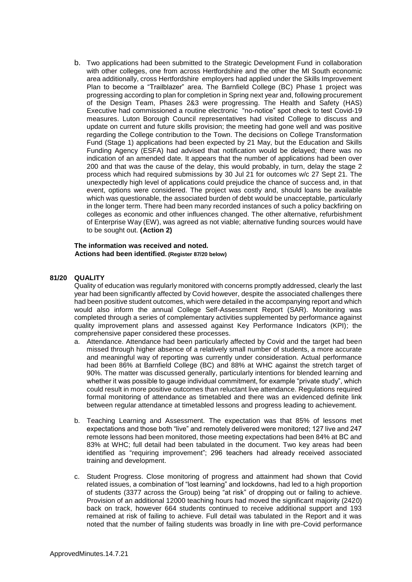b. Two applications had been submitted to the Strategic Development Fund in collaboration with other colleges, one from across Hertfordshire and the other the MI South economic area additionally, cross Hertfordshire employers had applied under the Skills Improvement Plan to become a "Trailblazer" area. The Barnfield College (BC) Phase 1 project was progressing according to plan for completion in Spring next year and, following procurement of the Design Team, Phases 2&3 were progressing. The Health and Safety (HAS) Executive had commissioned a routine electronic "no-notice" spot check to test Covid-19 measures. Luton Borough Council representatives had visited College to discuss and update on current and future skills provision; the meeting had gone well and was positive regarding the College contribution to the Town. The decisions on College Transformation Fund (Stage 1) applications had been expected by 21 May, but the Education and Skills Funding Agency (ESFA) had advised that notification would be delayed; there was no indication of an amended date. It appears that the number of applications had been over 200 and that was the cause of the delay, this would probably, in turn, delay the stage 2 process which had required submissions by 30 Jul 21 for outcomes w/c 27 Sept 21. The unexpectedly high level of applications could prejudice the chance of success and, in that event, options were considered. The project was costly and, should loans be available which was questionable, the associated burden of debt would be unacceptable, particularly in the longer term. There had been many recorded instances of such a policy backfiring on colleges as economic and other influences changed. The other alternative, refurbishment of Enterprise Way (EW), was agreed as not viable; alternative funding sources would have to be sought out. **(Action 2)**

#### **The information was received and noted***.* **Actions had been identified. (Register 87/20 below)**

## **81/20 QUALITY**

Quality of education was regularly monitored with concerns promptly addressed, clearly the last year had been significantly affected by Covid however, despite the associated challenges there had been positive student outcomes, which were detailed in the accompanying report and which would also inform the annual College Self-Assessment Report (SAR). Monitoring was completed through a series of complementary activities supplemented by performance against quality improvement plans and assessed against Key Performance Indicators (KPI); the comprehensive paper considered these processes.

- a. Attendance. Attendance had been particularly affected by Covid and the target had been missed through higher absence of a relatively small number of students, a more accurate and meaningful way of reporting was currently under consideration. Actual performance had been 86% at Barnfield College (BC) and 88% at WHC against the stretch target of 90%. The matter was discussed generally, particularly intentions for blended learning and whether it was possible to gauge individual commitment, for example "private study", which could result in more positive outcomes than reluctant live attendance. Regulations required formal monitoring of attendance as timetabled and there was an evidenced definite link between regular attendance at timetabled lessons and progress leading to achievement.
- b. Teaching Learning and Assessment. The expectation was that 85% of lessons met expectations and those both "live" and remotely delivered were monitored; 127 live and 247 remote lessons had been monitored, those meeting expectations had been 84% at BC and 83% at WHC; full detail had been tabulated in the document. Two key areas had been identified as "requiring improvement"; 296 teachers had already received associated training and development.
- c. Student Progress. Close monitoring of progress and attainment had shown that Covid related issues, a combination of "lost learning" and lockdowns, had led to a high proportion of students (3377 across the Group) being "at risk" of dropping out or failing to achieve. Provision of an additional 12000 teaching hours had moved the significant majority (2420) back on track, however 664 students continued to receive additional support and 193 remained at risk of failing to achieve. Full detail was tabulated in the Report and it was noted that the number of failing students was broadly in line with pre-Covid performance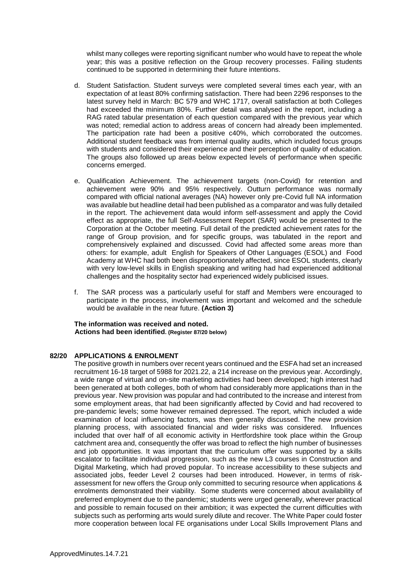whilst many colleges were reporting significant number who would have to repeat the whole year; this was a positive reflection on the Group recovery processes. Failing students continued to be supported in determining their future intentions.

- d. Student Satisfaction. Student surveys were completed several times each year, with an expectation of at least 80% confirming satisfaction. There had been 2296 responses to the latest survey held in March: BC 579 and WHC 1717, overall satisfaction at both Colleges had exceeded the minimum 80%. Further detail was analysed in the report, including a RAG rated tabular presentation of each question compared with the previous year which was noted; remedial action to address areas of concern had already been implemented. The participation rate had been a positive c40%, which corroborated the outcomes. Additional student feedback was from internal quality audits, which included focus groups with students and considered their experience and their perception of quality of education. The groups also followed up areas below expected levels of performance when specific concerns emerged.
- e. Qualification Achievement. The achievement targets (non-Covid) for retention and achievement were 90% and 95% respectively. Outturn performance was normally compared with official national averages (NA) however only pre-Covid full NA information was available but headline detail had been published as a comparator and was fully detailed in the report. The achievement data would inform self-assessment and apply the Covid effect as appropriate, the full Self-Assessment Report (SAR) would be presented to the Corporation at the October meeting. Full detail of the predicted achievement rates for the range of Group provision, and for specific groups, was tabulated in the report and comprehensively explained and discussed. Covid had affected some areas more than others: for example, adult English for Speakers of Other Languages (ESOL) and Food Academy at WHC had both been disproportionately affected, since ESOL students, clearly with very low-level skills in English speaking and writing had had experienced additional challenges and the hospitality sector had experienced widely publicised issues.
- f. The SAR process was a particularly useful for staff and Members were encouraged to participate in the process, involvement was important and welcomed and the schedule would be available in the near future. **(Action 3)**

**The information was received and noted. Actions had been identified. (Register 87/20 below)**

#### **82/20 APPLICATIONS & ENROLMENT**

The positive growth in numbers over recent years continued and the ESFA had set an increased recruitment 16-18 target of 5988 for 2021.22, a 214 increase on the previous year. Accordingly, a wide range of virtual and on-site marketing activities had been developed; high interest had been generated at both colleges, both of whom had considerably more applications than in the previous year. New provision was popular and had contributed to the increase and interest from some employment areas, that had been significantly affected by Covid and had recovered to pre-pandemic levels; some however remained depressed. The report, which included a wide examination of local influencing factors, was then generally discussed. The new provision planning process, with associated financial and wider risks was considered. Influences included that over half of all economic activity in Hertfordshire took place within the Group catchment area and, consequently the offer was broad to reflect the high number of businesses and job opportunities. It was important that the curriculum offer was supported by a skills escalator to facilitate individual progression, such as the new L3 courses in Construction and Digital Marketing, which had proved popular. To increase accessibility to these subjects and associated jobs, feeder Level 2 courses had been introduced. However, in terms of riskassessment for new offers the Group only committed to securing resource when applications & enrolments demonstrated their viability. Some students were concerned about availability of preferred employment due to the pandemic; students were urged generally, wherever practical and possible to remain focused on their ambition; it was expected the current difficulties with subjects such as performing arts would surely dilute and recover. The White Paper could foster more cooperation between local FE organisations under Local Skills Improvement Plans and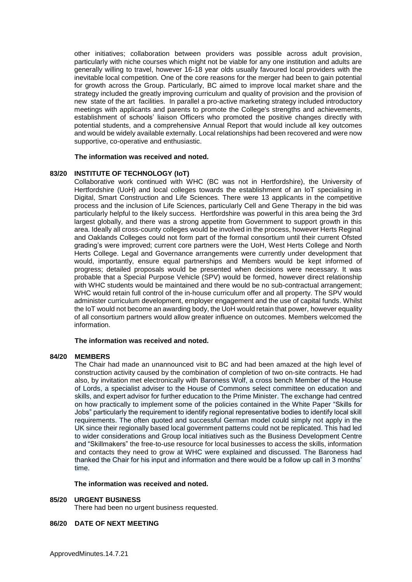other initiatives; collaboration between providers was possible across adult provision, particularly with niche courses which might not be viable for any one institution and adults are generally willing to travel, however 16-18 year olds usually favoured local providers with the inevitable local competition. One of the core reasons for the merger had been to gain potential for growth across the Group. Particularly, BC aimed to improve local market share and the strategy included the greatly improving curriculum and quality of provision and the provision of new state of the art facilities. In parallel a pro-active marketing strategy included introductory meetings with applicants and parents to promote the College's strengths and achievements, establishment of schools' liaison Officers who promoted the positive changes directly with potential students, and a comprehensive Annual Report that would include all key outcomes and would be widely available externally. Local relationships had been recovered and were now supportive, co-operative and enthusiastic.

#### **The information was received and noted.**

#### **83/20 INSTITUTE OF TECHNOLOGY (IoT)**

Collaborative work continued with WHC (BC was not in Hertfordshire), the University of Hertfordshire (UoH) and local colleges towards the establishment of an IoT specialising in Digital, Smart Construction and Life Sciences. There were 13 applicants in the competitive process and the inclusion of Life Sciences, particularly Cell and Gene Therapy in the bid was particularly helpful to the likely success. Hertfordshire was powerful in this area being the 3rd largest globally, and there was a strong appetite from Government to support growth in this area. Ideally all cross-county colleges would be involved in the process, however Herts Reginal and Oaklands Colleges could not form part of the formal consortium until their current Ofsted grading's were improved; current core partners were the UoH, West Herts College and North Herts College. Legal and Governance arrangements were currently under development that would, importantly, ensure equal partnerships and Members would be kept informed of progress; detailed proposals would be presented when decisions were necessary. It was probable that a Special Purpose Vehicle (SPV) would be formed, however direct relationship with WHC students would be maintained and there would be no sub-contractual arrangement; WHC would retain full control of the in-house curriculum offer and all property. The SPV would administer curriculum development, employer engagement and the use of capital funds. Whilst the IoT would not become an awarding body, the UoH would retain that power, however equality of all consortium partners would allow greater influence on outcomes. Members welcomed the information.

#### **The information was received and noted.**

#### **84/20 MEMBERS**

The Chair had made an unannounced visit to BC and had been amazed at the high level of construction activity caused by the combination of completion of two on-site contracts. He had also, by invitation met electronically with Baroness Wolf, a cross bench Member of the House of Lords, a specialist adviser to the House of Commons select committee on education and skills, and expert advisor for further education to the Prime Minister. The exchange had centred on how practically to implement some of the policies contained in the White Paper "Skills for Jobs" particularly the requirement to identify regional representative bodies to identify local skill requirements. The often quoted and successful German model could simply not apply in the UK since their regionally based local government patterns could not be replicated. This had led to wider considerations and Group local initiatives such as the Business Development Centre and "Skillmakers" the free-to-use resource for local businesses to access the skills, information and contacts they need to grow at WHC were explained and discussed. The Baroness had thanked the Chair for his input and information and there would be a follow up call in 3 months' time.

#### **The information was received and noted***.*

#### **85/20 URGENT BUSINESS**

There had been no urgent business requested.

## **86/20 DATE OF NEXT MEETING**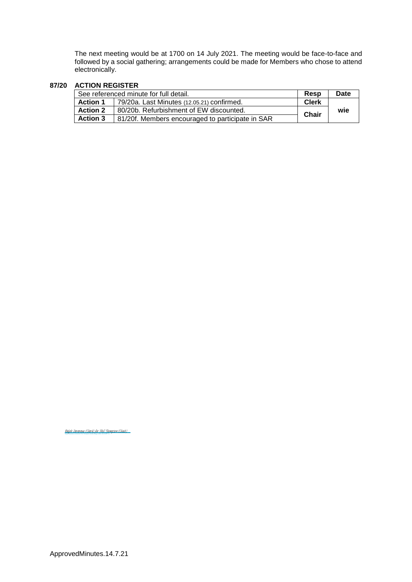The next meeting would be at 1700 on 14 July 2021. The meeting would be face-to-face and followed by a social gathering; arrangements could be made for Members who chose to attend electronically.

# **87/20 ACTION REGISTER**

| See referenced minute for full detail. |                                                  | Resp         | <b>Date</b> |
|----------------------------------------|--------------------------------------------------|--------------|-------------|
| <b>Action 1</b>                        | 79/20a. Last Minutes (12.05.21) confirmed.       | <b>Clerk</b> |             |
| <b>Action 2</b>                        | 80/20b. Refurbishment of EW discounted.          | <b>Chair</b> | wie         |
| <b>Action 3</b>                        | 81/20f. Members encouraged to participate in SAR |              |             |

<u>[Ralph Devereux \(Clerk\) for Phil Thompson \(Chair\)](https://eu1.documents.adobe.com/verifier?tx=CBJCHBCAABAAYZoXuM5egKiiZwE18QbUpy2byr-rUO6X)</u>